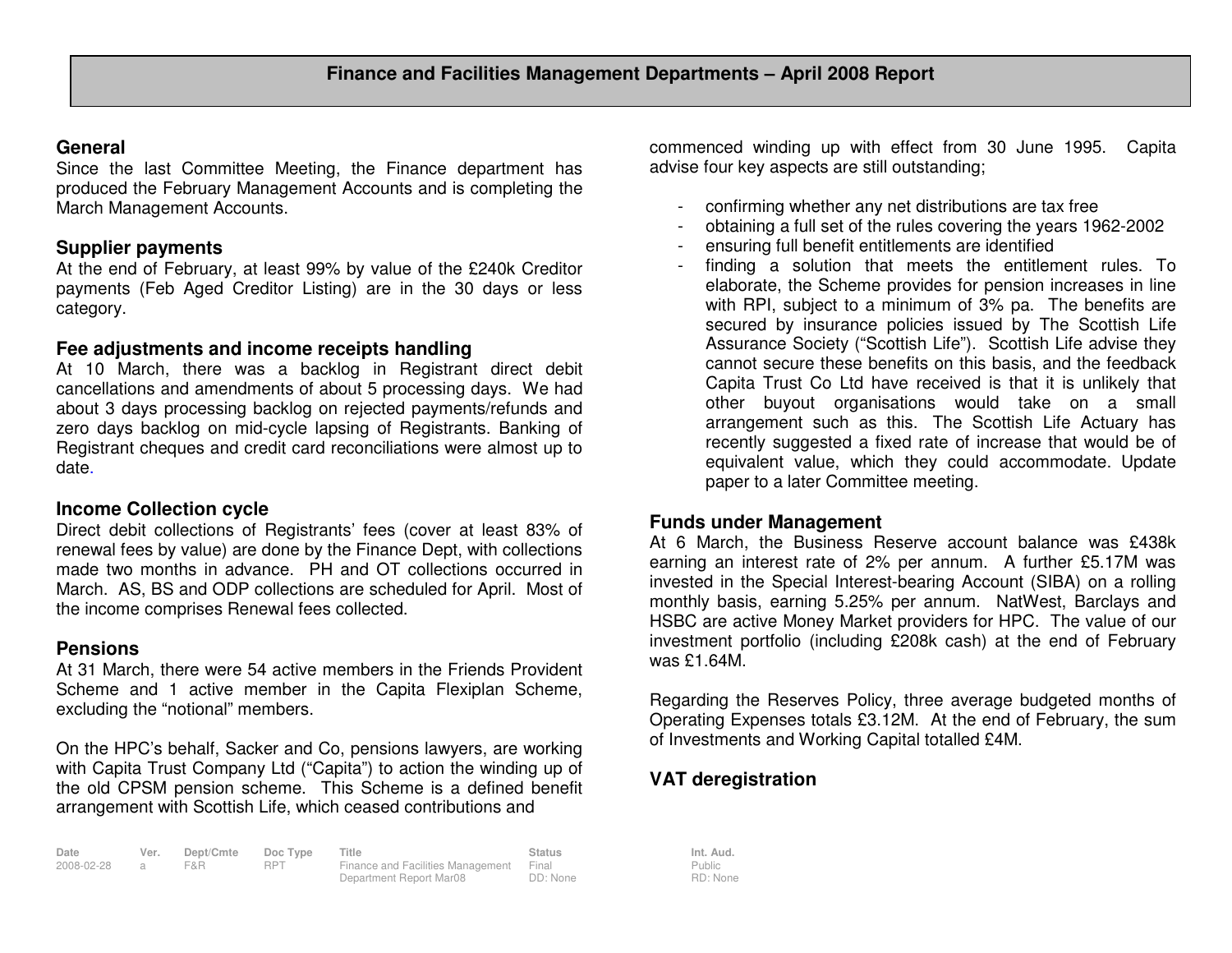#### **General**

 Since the last Committee Meeting, the Finance department has produced the February Management Accounts and is completing the March Management Accounts.

# **Supplier payments**

 At the end of February, at least 99% by value of the £240k Creditor payments (Feb Aged Creditor Listing) are in the 30 days or less category.

## **Fee adjustments and income receipts handling**

 At 10 March, there was a backlog in Registrant direct debit cancellations and amendments of about 5 processing days. We had about 3 days processing backlog on rejected payments/refunds and zero days backlog on mid-cycle lapsing of Registrants. Banking of Registrant cheques and credit card reconciliations were almost up to date.

## **Income Collection cycle**

 Direct debit collections of Registrants' fees (cover at least 83% of renewal fees by value) are done by the Finance Dept, with collections made two months in advance. PH and OT collections occurred in March. AS, BS and ODP collections are scheduled for April. Most of the income comprises Renewal fees collected.

## **Pensions**

 At 31 March, there were 54 active members in the Friends Provident Scheme and 1 active member in the Capita Flexiplan Scheme, excluding the "notional" members.

On the HPC's behalf, Sacker and Co, pensions lawyers, are working with Capita Trust Company Ltd ("Capita") to action the winding up of the old CPSM pension scheme. This Scheme is a defined benefit arrangement with Scottish Life, which ceased contributions and

| Date       | Ver. | Dept/Cmte | Doc Type   | Title                                   | Status   | Int. Aud. |
|------------|------|-----------|------------|-----------------------------------------|----------|-----------|
| 2008-02-28 |      | F&R.      | <b>RPT</b> | Finance and Facilities Management Final |          | Public    |
|            |      |           |            | Department Report Mar08                 | DD: None | RD: Non   |

commenced winding up with effect from 30 June 1995. Capita advise four key aspects are still outstanding;

- confirming whether any net distributions are tax free
- obtaining a full set of the rules covering the years 1962-2002
- ensuring full benefit entitlements are identified
- finding a solution that meets the entitlement rules. To elaborate, the Scheme provides for pension increases in line with RPI, subject to a minimum of 3% pa. The benefits are secured by insurance policies issued by The Scottish Life Assurance Society ("Scottish Life"). Scottish Life advise they cannot secure these benefits on this basis, and the feedback Capita Trust Co Ltd have received is that it is unlikely that other buyout organisations would take on a small arrangement such as this. The Scottish Life Actuary has recently suggested a fixed rate of increase that would be of equivalent value, which they could accommodate. Update paper to a later Committee meeting.

# **Funds under Management**

 At 6 March, the Business Reserve account balance was £438k earning an interest rate of 2% per annum. A further £5.17M was invested in the Special Interest-bearing Account (SIBA) on a rolling monthly basis, earning 5.25% per annum. NatWest, Barclays and HSBC are active Money Market providers for HPC. The value of our investment portfolio (including £208k cash) at the end of February was £1.64M.

Regarding the Reserves Policy, three average budgeted months of Operating Expenses totals £3.12M. At the end of February, the sum of Investments and Working Capital totalled £4M.

# **VAT deregistration**

Public RD: None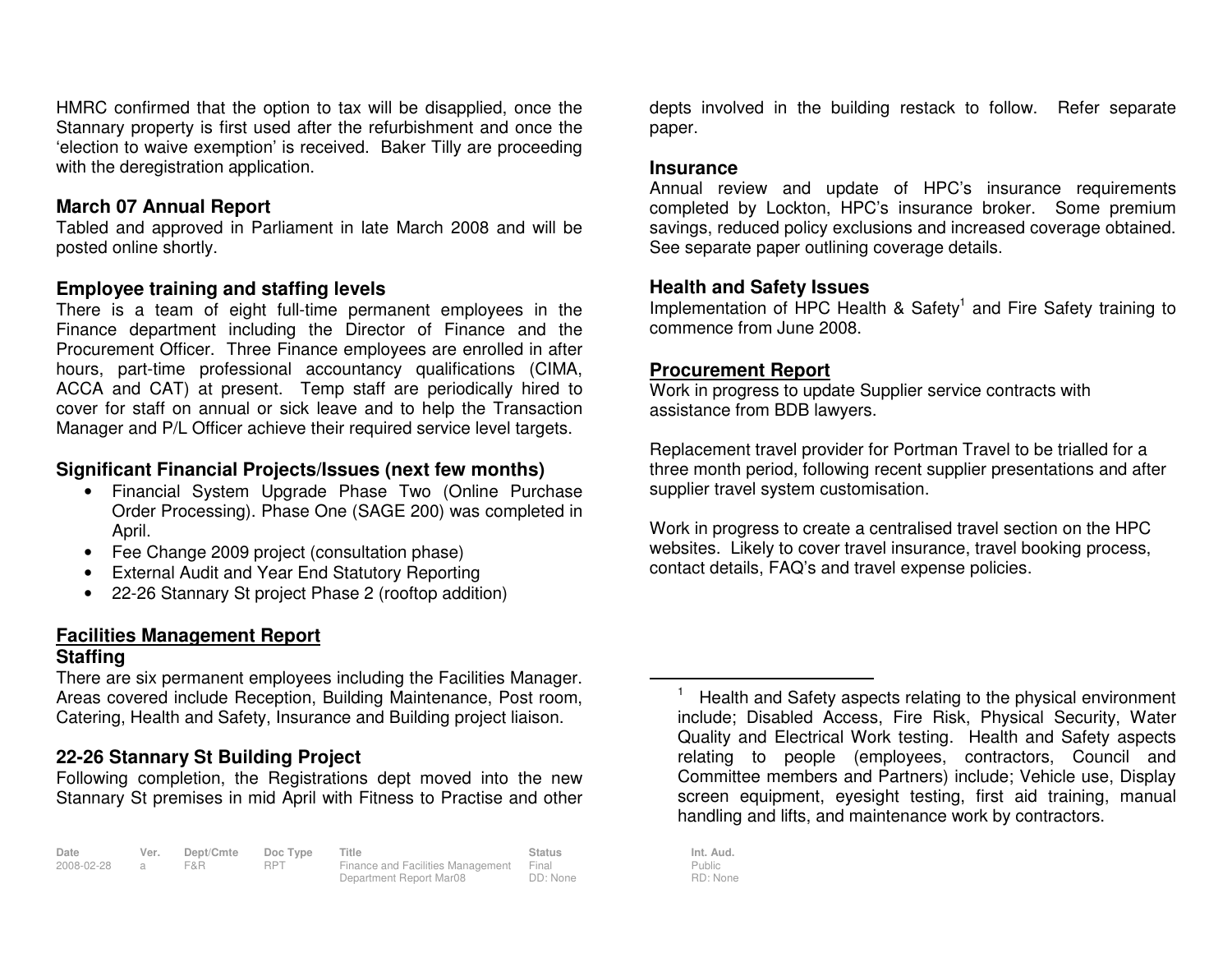HMRC confirmed that the option to tax will be disapplied, once the Stannary property is first used after the refurbishment and once the 'election to waive exemption' is received. Baker Tilly are proceeding with the deregistration application.

#### **March 07 Annual Report**

 Tabled and approved in Parliament in late March 2008 and will be posted online shortly.

### **Employee training and staffing levels**

 There is a team of eight full-time permanent employees in the Finance department including the Director of Finance and the Procurement Officer. Three Finance employees are enrolled in after hours, part-time professional accountancy qualifications (CIMA, ACCA and CAT) at present. Temp staff are periodically hired to cover for staff on annual or sick leave and to help the Transaction Manager and P/L Officer achieve their required service level targets.

### **Significant Financial Projects/Issues (next few months)**

- Financial System Upgrade Phase Two (Online Purchase Order Processing). Phase One (SAGE 200) was completed in April.
- Fee Change 2009 project (consultation phase)
- External Audit and Year End Statutory Reporting
- 22-26 Stannary St project Phase 2 (rooftop addition)

## **Facilities Management Report**

#### **Staffing**

 There are six permanent employees including the Facilities Manager. Areas covered include Reception, Building Maintenance, Post room, Catering, Health and Safety, Insurance and Building project liaison.

# **22-26 Stannary St Building Project**

 Following completion, the Registrations dept moved into the new Stannary St premises in mid April with Fitness to Practise and other

**Date Ver. Dept/Cmte Doc Type Title Status Int. Aud.**2008-02-28 a F&R RPT Finance and Facilities Management Department Report Mar08 Final DD: None

depts involved in the building restack to follow. Refer separate paper.

#### **Insurance**

 Annual review and update of HPC's insurance requirements completed by Lockton, HPC's insurance broker. Some premium savings, reduced policy exclusions and increased coverage obtained. See separate paper outlining coverage details.

### **Health and Safety Issues**

Implementation of HPC Health & Safety<sup>1</sup> and Fire Safety training to commence from June 2008.

## **Procurement Report**

 Work in progress to update Supplier service contracts with assistance from BDB lawyers.

Replacement travel provider for Portman Travel to be trialled for a three month period, following recent supplier presentations and after supplier travel system customisation.

Work in progress to create a centralised travel section on the HPC websites. Likely to cover travel insurance, travel booking process, contact details, FAQ's and travel expense policies.

Health and Safety aspects relating to the physical environment include; Disabled Access, Fire Risk, Physical Security, Water Quality and Electrical Work testing. Health and Safety aspects relating to people (employees, contractors, Council and Committee members and Partners) include; Vehicle use, Display screen equipment, eyesight testing, first aid training, manual handling and lifts, and maintenance work by contractors.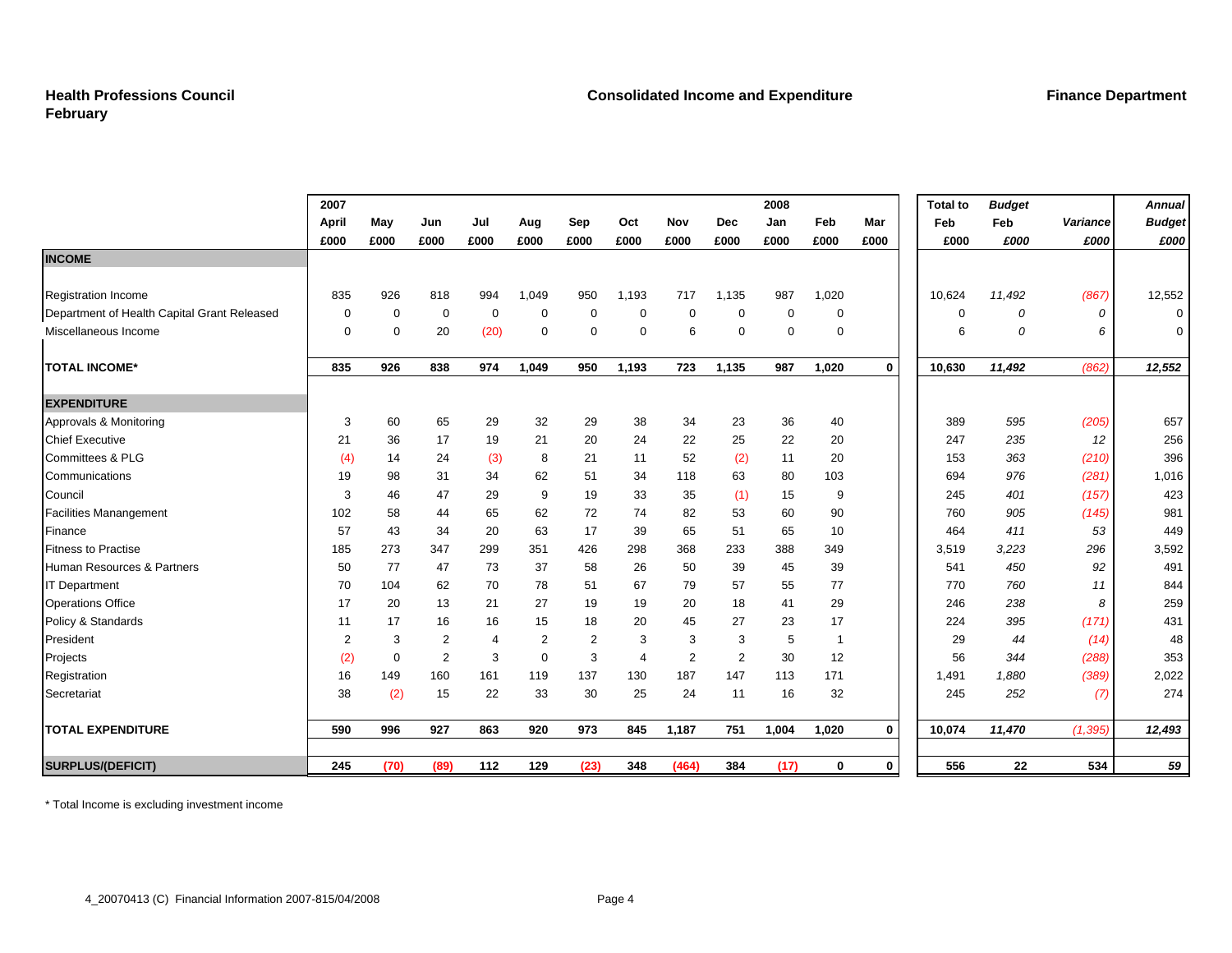#### **Health Professions Council February**

|                                             | 2007  |             |                |                |             |                |                |                |            | 2008  |                |             | <b>Total to</b> | <b>Budget</b> |          | <b>Annual</b> |
|---------------------------------------------|-------|-------------|----------------|----------------|-------------|----------------|----------------|----------------|------------|-------|----------------|-------------|-----------------|---------------|----------|---------------|
|                                             | April | May         | Jun            | Jul            | Aug         | Sep            | Oct            | Nov            | <b>Dec</b> | Jan   | Feb            | Mar         | Feb             | Feb           | Variance | <b>Budget</b> |
|                                             | £000  | £000        | £000           | £000           | £000        | £000           | £000           | £000           | £000       | £000  | £000           | £000        | £000            | £000          | £000     | £000          |
| <b>INCOME</b>                               |       |             |                |                |             |                |                |                |            |       |                |             |                 |               |          |               |
|                                             |       |             |                |                |             |                |                |                |            |       |                |             |                 |               |          |               |
| <b>Registration Income</b>                  | 835   | 926         | 818            | 994            | 1,049       | 950            | 1,193          | 717            | 1,135      | 987   | 1,020          |             | 10,624          | 11,492        | (867)    | 12,552        |
| Department of Health Capital Grant Released | 0     | 0           | 0              | $\mathbf 0$    | 0           | 0              | 0              | 0              | $\Omega$   | 0     | 0              |             | $\mathbf 0$     | $\theta$      | 0        | $\mathbf 0$   |
| Miscellaneous Income                        | 0     | 0           | 20             | (20)           | 0           | 0              | 0              | 6              | $\Omega$   | 0     | 0              |             | 6               | 0             | 6        | $\mathbf 0$   |
| <b>TOTAL INCOME*</b>                        | 835   | 926         | 838            | 974            | 1,049       | 950            | 1,193          | 723            | 1,135      | 987   | 1,020          | $\mathbf 0$ | 10,630          | 11,492        | (862)    | 12,552        |
| <b>EXPENDITURE</b>                          |       |             |                |                |             |                |                |                |            |       |                |             |                 |               |          |               |
| Approvals & Monitoring                      | 3     | 60          | 65             | 29             | 32          | 29             | 38             | 34             | 23         | 36    | 40             |             | 389             | 595           | (205)    | 657           |
| <b>Chief Executive</b>                      | 21    | 36          | 17             | 19             | 21          | 20             | 24             | 22             | 25         | 22    | 20             |             | 247             | 235           | 12       | 256           |
| Committees & PLG                            | (4)   | 14          | 24             | (3)            | 8           | 21             | 11             | 52             | (2)        | 11    | 20             |             | 153             | 363           | (210)    | 396           |
| Communications                              | 19    | 98          | 31             | 34             | 62          | 51             | 34             | 118            | 63         | 80    | 103            |             | 694             | 976           | (281)    | 1,016         |
| Council                                     | 3     | 46          | 47             | 29             | 9           | 19             | 33             | 35             | (1)        | 15    | 9              |             | 245             | 401           | (157)    | 423           |
| <b>Facilities Manangement</b>               | 102   | 58          | 44             | 65             | 62          | 72             | 74             | 82             | 53         | 60    | 90             |             | 760             | 905           | (145)    | 981           |
| Finance                                     | 57    | 43          | 34             | 20             | 63          | 17             | 39             | 65             | 51         | 65    | 10             |             | 464             | 411           | 53       | 449           |
| <b>Fitness to Practise</b>                  | 185   | 273         | 347            | 299            | 351         | 426            | 298            | 368            | 233        | 388   | 349            |             | 3,519           | 3,223         | 296      | 3,592         |
| Human Resources & Partners                  | 50    | 77          | 47             | 73             | 37          | 58             | 26             | 50             | 39         | 45    | 39             |             | 541             | 450           | 92       | 491           |
| <b>IT Department</b>                        | 70    | 104         | 62             | 70             | 78          | 51             | 67             | 79             | 57         | 55    | 77             |             | 770             | 760           | 11       | 844           |
| <b>Operations Office</b>                    | 17    | 20          | 13             | 21             | 27          | 19             | 19             | 20             | 18         | 41    | 29             |             | 246             | 238           | 8        | 259           |
| Policy & Standards                          | 11    | 17          | 16             | 16             | 15          | 18             | 20             | 45             | 27         | 23    | 17             |             | 224             | 395           | (171)    | 431           |
| President                                   | 2     | 3           | 2              | $\overline{4}$ | 2           | $\overline{2}$ | 3              | 3              | 3          | 5     | $\overline{1}$ |             | 29              | 44            | (14)     | 48            |
| Projects                                    | (2)   | $\mathbf 0$ | $\overline{2}$ | 3              | $\mathbf 0$ | 3              | $\overline{4}$ | $\overline{2}$ | 2          | 30    | 12             |             | 56              | 344           | (288)    | 353           |
| Registration                                | 16    | 149         | 160            | 161            | 119         | 137            | 130            | 187            | 147        | 113   | 171            |             | 1,491           | 1,880         | (389)    | 2,022         |
| Secretariat                                 | 38    | (2)         | 15             | 22             | 33          | 30             | 25             | 24             | 11         | 16    | 32             |             | 245             | 252           | (7)      | 274           |
| <b>TOTAL EXPENDITURE</b>                    | 590   | 996         | 927            | 863            | 920         | 973            | 845            | 1,187          | 751        | 1,004 | 1,020          | $\mathbf 0$ | 10,074          | 11,470        | (1, 395) | 12,493        |
| <b>SURPLUS/(DEFICIT)</b>                    | 245   | (70)        | (89)           | 112            | 129         | (23)           | 348            | (464)          | 384        | (17)  | 0              | $\mathbf 0$ | 556             | 22            | 534      | 59            |

\* Total Income is excluding investment income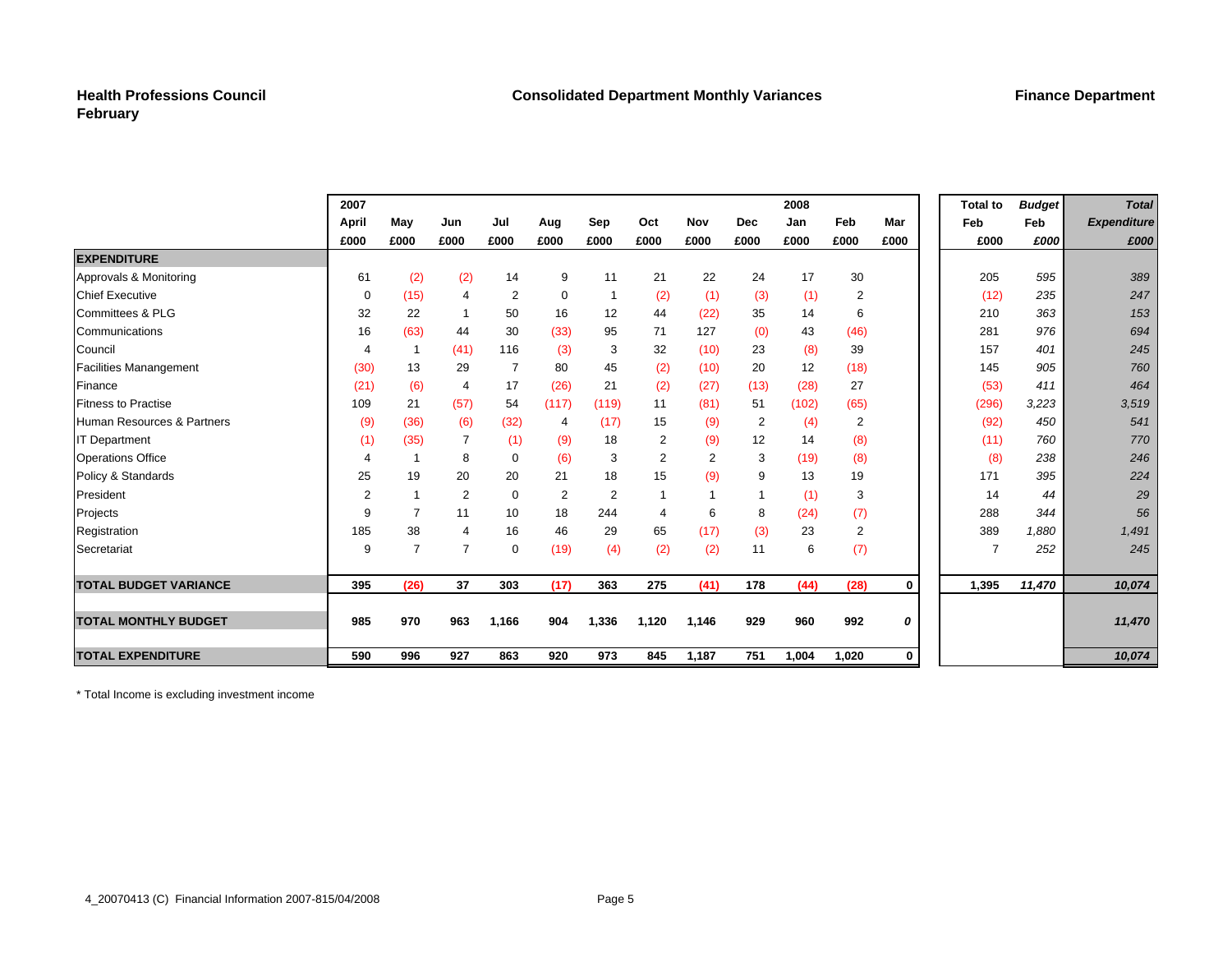#### **Health Professions Council February**

|                               | 2007           |                |                |                |             |                |                |                |                | 2008  |                |      | <b>Total to</b> | <b>Budget</b> | <b>Total</b>       |
|-------------------------------|----------------|----------------|----------------|----------------|-------------|----------------|----------------|----------------|----------------|-------|----------------|------|-----------------|---------------|--------------------|
|                               | April          | May            | Jun            | Jul            | Aug         | Sep            | Oct            | Nov            | <b>Dec</b>     | Jan   | Feb            | Mar  | Feb             | Feb           | <b>Expenditure</b> |
|                               | £000           | £000           | £000           | £000           | £000        | £000           | £000           | £000           | £000           | £000  | £000           | £000 | £000            | £000          | £000               |
| <b>EXPENDITURE</b>            |                |                |                |                |             |                |                |                |                |       |                |      |                 |               |                    |
| Approvals & Monitoring        | 61             | (2)            | (2)            | 14             | 9           | 11             | 21             | 22             | 24             | 17    | 30             |      | 205             | 595           | 389                |
| <b>Chief Executive</b>        | $\mathbf 0$    | (15)           | $\overline{4}$ | $\overline{2}$ | $\mathbf 0$ |                | (2)            | (1)            | (3)            | (1)   | $\overline{2}$ |      | (12)            | 235           | 247                |
| <b>Committees &amp; PLG</b>   | 32             | 22             |                | 50             | 16          | 12             | 44             | (22)           | 35             | 14    | 6              |      | 210             | 363           | 153                |
| Communications                | 16             | (63)           | 44             | 30             | (33)        | 95             | 71             | 127            | (0)            | 43    | (46)           |      | 281             | 976           | 694                |
| Council                       | $\overline{4}$ |                | (41)           | 116            | (3)         | 3              | 32             | (10)           | 23             | (8)   | 39             |      | 157             | 401           | 245                |
| <b>Facilities Manangement</b> | (30)           | 13             | 29             | $\overline{7}$ | 80          | 45             | (2)            | (10)           | 20             | 12    | (18)           |      | 145             | 905           | 760                |
| Finance                       | (21)           | (6)            | 4              | 17             | (26)        | 21             | (2)            | (27)           | (13)           | (28)  | 27             |      | (53)            | 411           | 464                |
| <b>Fitness to Practise</b>    | 109            | 21             | (57)           | 54             | (117)       | (119)          | 11             | (81)           | 51             | (102) | (65)           |      | (296)           | 3,223         | 3,519              |
| Human Resources & Partners    | (9)            | (36)           | (6)            | (32)           | 4           | (17)           | 15             | (9)            | $\overline{2}$ | (4)   | $\overline{2}$ |      | (92)            | 450           | 541                |
| <b>IT Department</b>          | (1)            | (35)           |                | (1)            | (9)         | 18             | 2              | (9)            | 12             | 14    | (8)            |      | (11)            | 760           | 770                |
| <b>Operations Office</b>      | 4              |                | 8              | $\mathbf 0$    | (6)         | 3              | $\overline{2}$ | $\overline{2}$ | 3              | (19)  | (8)            |      |                 | (8)<br>238    | 246                |
| Policy & Standards            | 25             | 19             | 20             | 20             | 21          | 18             | 15             | (9)            | 9              | 13    | 19             |      | 171             | 395           | 224                |
| President                     | $\overline{2}$ |                | 2              | $\mathbf 0$    | 2           | $\overline{2}$ | 1              | $\overline{1}$ |                | (1)   | 3              |      | 14              | 44            | 29                 |
| Projects                      | 9              | $\overline{7}$ | 11             | 10             | 18          | 244            | 4              | 6              | 8              | (24)  | (7)            |      | 288             | 344           | 56                 |
| Registration                  | 185            | 38             | 4              | 16             | 46          | 29             | 65             | (17)           | (3)            | 23    | $\overline{2}$ |      | 389             | 1,880         | 1,491              |
| Secretariat                   | 9              | $\overline{7}$ | 7              | $\mathbf 0$    | (19)        | (4)            | (2)            | (2)            | 11             | 6     | (7)            |      |                 | 252<br>7      | 245                |
| <b>TOTAL BUDGET VARIANCE</b>  | 395            | (26)           | 37             | 303            | (17)        | 363            | 275            | (41)           | 178            | (44)  | (28)           | 0    | 1,395           | 11,470        | 10,074             |
|                               |                |                |                |                |             |                |                |                |                |       |                |      |                 |               |                    |
| <b>TOTAL MONTHLY BUDGET</b>   | 985            | 970            | 963            | 1,166          | 904         | 1,336          | 1,120          | 1,146          | 929            | 960   | 992            | 0    |                 |               | 11,470             |
| <b>TOTAL EXPENDITURE</b>      | 590            | 996            | 927            | 863            | 920         | 973            | 845            | 1,187          | 751            | 1,004 | 1,020          | 0    |                 |               | 10,074             |

\* Total Income is excluding investment income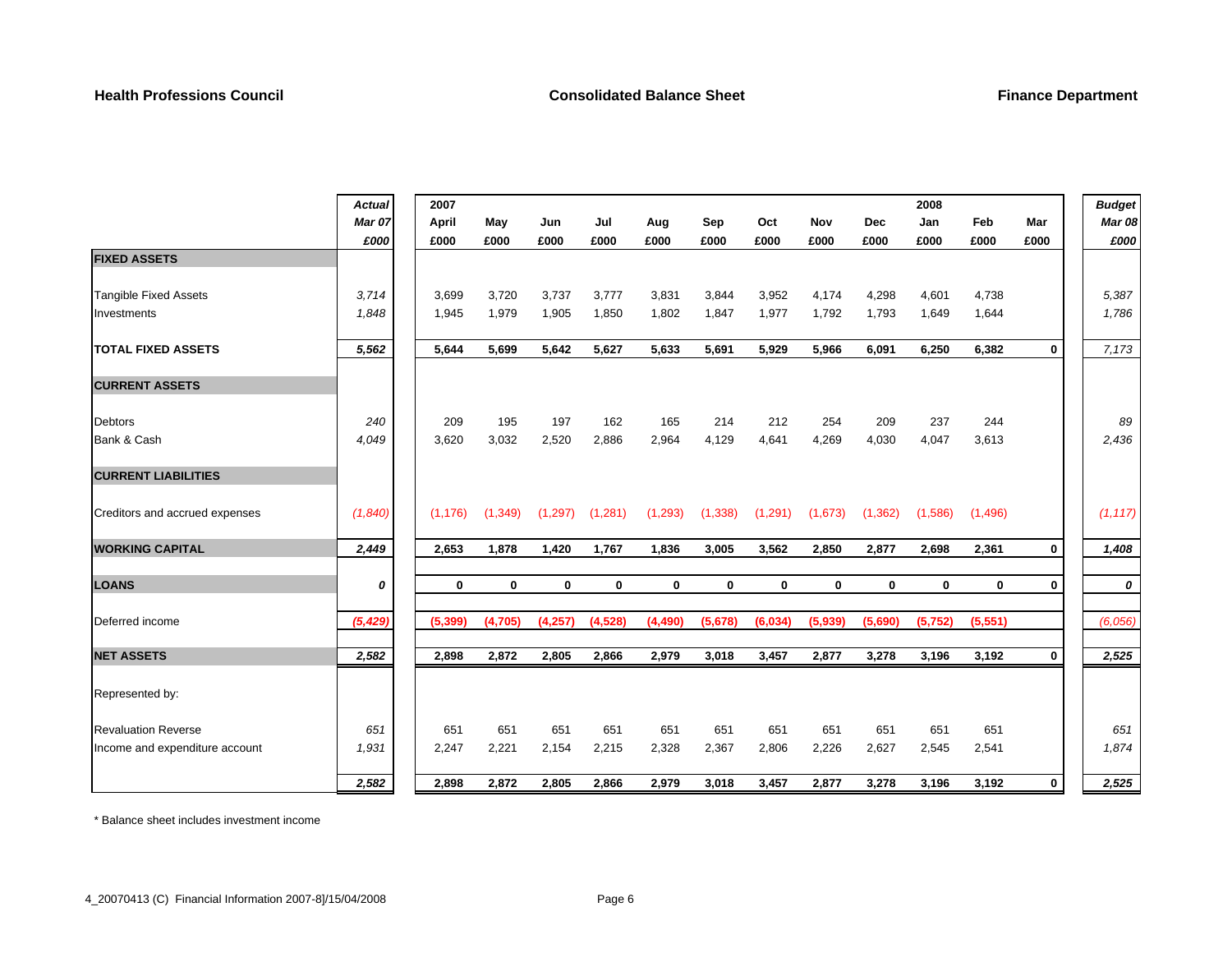|                                | <b>Actual</b> | 2007     |             |             |              |             |          |              |             |            | 2008         |             |             | <b>Budget</b> |
|--------------------------------|---------------|----------|-------------|-------------|--------------|-------------|----------|--------------|-------------|------------|--------------|-------------|-------------|---------------|
|                                | Mar 07        | April    | May         | Jun         | Jul          | Aug         | Sep      | Oct          | Nov         | <b>Dec</b> | Jan          | Feb         | Mar         | <b>Mar 08</b> |
|                                | £000          | £000     | £000        | £000        | £000         | £000        | £000     | £000         | £000        | £000       | £000         | £000        | £000        | £000          |
| <b>FIXED ASSETS</b>            |               |          |             |             |              |             |          |              |             |            |              |             |             |               |
| <b>Tangible Fixed Assets</b>   | 3,714         | 3,699    | 3,720       | 3,737       | 3,777        | 3,831       | 3,844    | 3,952        | 4,174       | 4,298      | 4,601        | 4.738       |             | 5,387         |
| Investments                    | 1,848         | 1,945    | 1,979       | 1,905       | 1,850        | 1,802       | 1,847    | 1,977        | 1,792       | 1,793      | 1,649        | 1,644       |             | 1,786         |
| <b>TOTAL FIXED ASSETS</b>      | 5,562         | 5.644    | 5.699       | 5,642       | 5.627        | 5.633       | 5.691    | 5.929        | 5,966       | 6,091      | 6,250        | 6,382       | $\mathbf 0$ | 7,173         |
| <b>CURRENT ASSETS</b>          |               |          |             |             |              |             |          |              |             |            |              |             |             |               |
| <b>Debtors</b>                 | 240           | 209      | 195         | 197         | 162          | 165         | 214      | 212          | 254         | 209        | 237          | 244         |             | 89            |
| Bank & Cash                    | 4,049         | 3,620    | 3,032       | 2,520       | 2,886        | 2,964       | 4,129    | 4,641        | 4,269       | 4,030      | 4,047        | 3,613       |             | 2,436         |
| <b>CURRENT LIABILITIES</b>     |               |          |             |             |              |             |          |              |             |            |              |             |             |               |
| Creditors and accrued expenses | (1,840)       | (1, 176) | (1, 349)    | (1, 297)    | (1,281)      | (1, 293)    | (1, 338) | (1, 291)     | (1,673)     | (1, 362)   | (1,586)      | (1, 496)    |             | (1, 117)      |
| <b>WORKING CAPITAL</b>         | 2,449         | 2,653    | 1,878       | 1,420       | 1,767        | 1,836       | 3,005    | 3,562        | 2,850       | 2,877      | 2,698        | 2,361       | $\bf{0}$    | 1,408         |
| <b>LOANS</b>                   | 0             | 0        | $\mathbf 0$ | $\mathbf 0$ | $\mathbf{0}$ | $\mathbf 0$ | 0        | $\mathbf{0}$ | $\mathbf 0$ | 0          | $\mathbf{0}$ | $\mathbf 0$ | $\mathbf 0$ | 0             |
| Deferred income                | (5, 429)      | (5, 399) | (4,705)     | (4,257)     | (4, 528)     | (4, 490)    | (5,678)  | (6,034)      | (5,939)     | (5,690)    | (5,752)      | (5,551)     |             | (6,056)       |
| <b>NET ASSETS</b>              | 2,582         | 2,898    | 2,872       | 2,805       | 2,866        | 2,979       | 3,018    | 3,457        | 2,877       | 3,278      | 3,196        | 3,192       | $\mathbf 0$ | 2,525         |
| Represented by:                |               |          |             |             |              |             |          |              |             |            |              |             |             |               |
| <b>Revaluation Reverse</b>     | 651           | 651      | 651         | 651         | 651          | 651         | 651      | 651          | 651         | 651        | 651          | 651         |             | 651           |
| Income and expenditure account | 1,931         | 2,247    | 2,221       | 2,154       | 2,215        | 2,328       | 2,367    | 2,806        | 2,226       | 2,627      | 2,545        | 2,541       |             | 1,874         |
|                                | 2,582         | 2,898    | 2,872       | 2,805       | 2,866        | 2,979       | 3,018    | 3,457        | 2,877       | 3,278      | 3,196        | 3,192       | $\mathbf 0$ | 2,525         |

\* Balance sheet includes investment income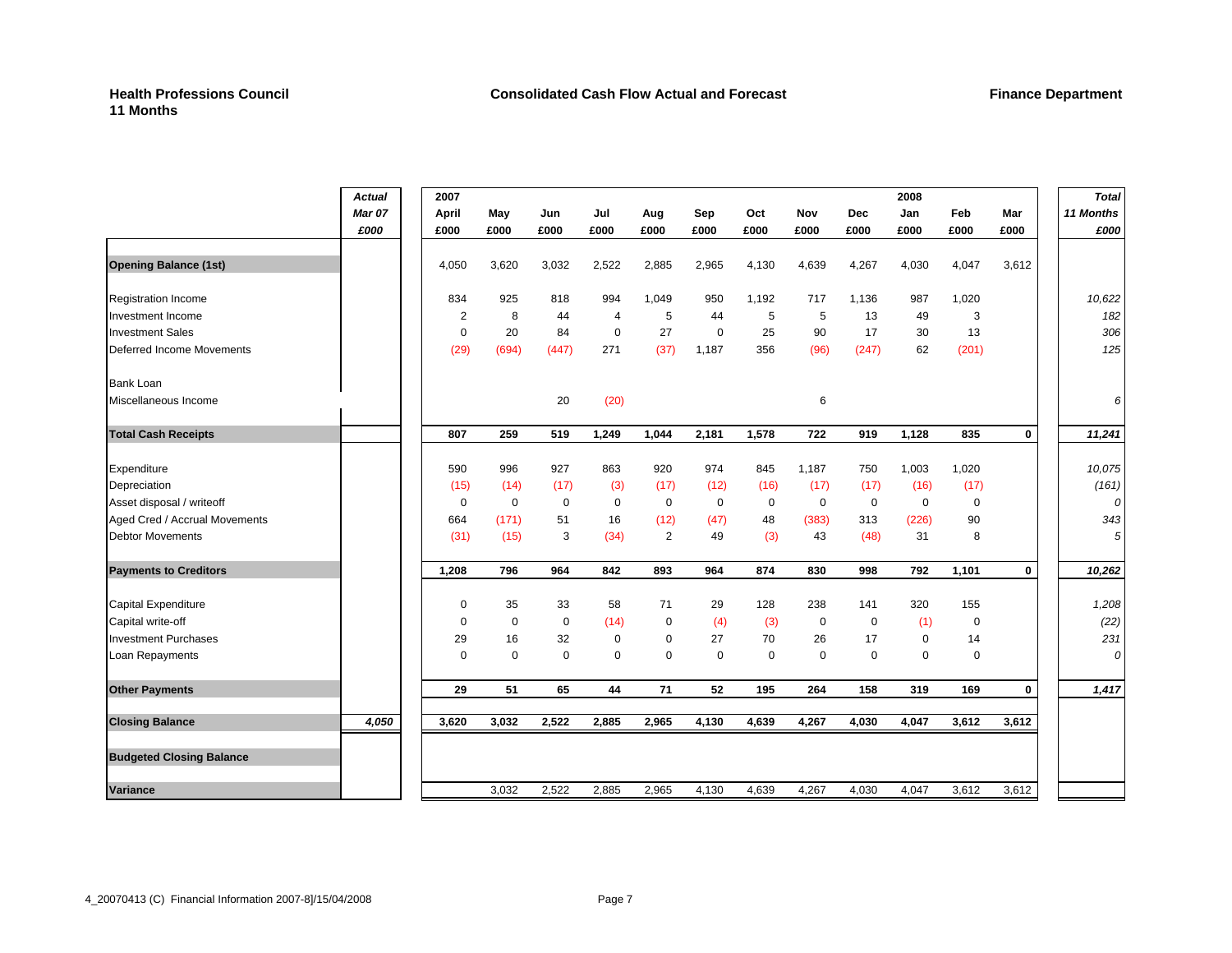|                                 | <b>Actual</b><br><b>Mar 07</b><br>£000 | 2007<br>April<br>£000 | May<br>£000 | Jun<br>£000 | Jul<br>£000    | Aug<br>£000 | Sep<br>£000 | Oct<br>£000 | Nov<br>£000 | <b>Dec</b><br>£000 | 2008<br>Jan<br>£000 | Feb<br>£000 | Mar<br>£000 | <b>Total</b><br>11 Months<br>£000 |
|---------------------------------|----------------------------------------|-----------------------|-------------|-------------|----------------|-------------|-------------|-------------|-------------|--------------------|---------------------|-------------|-------------|-----------------------------------|
| <b>Opening Balance (1st)</b>    |                                        | 4,050                 | 3,620       | 3,032       | 2,522          | 2,885       | 2,965       | 4,130       | 4,639       | 4,267              | 4,030               | 4,047       | 3,612       |                                   |
| <b>Registration Income</b>      |                                        | 834                   | 925         | 818         | 994            | 1,049       | 950         | 1,192       | 717         | 1,136              | 987                 | 1,020       |             | 10,622                            |
| Investment Income               |                                        | 2                     | 8           | 44          | $\overline{4}$ | 5           | 44          | 5           | 5           | 13                 | 49                  | 3           |             | 182                               |
| <b>Investment Sales</b>         |                                        | $\mathbf 0$           | 20          | 84          | $\Omega$       | 27          | $\mathbf 0$ | 25          | 90          | 17                 | 30                  | 13          |             | 306                               |
| Deferred Income Movements       |                                        | (29)                  | (694)       | (447)       | 271            | (37)        | 1,187       | 356         | (96)        | (247)              | 62                  | (201)       |             | 125                               |
| <b>Bank Loan</b>                |                                        |                       |             |             |                |             |             |             |             |                    |                     |             |             |                                   |
| Miscellaneous Income            |                                        |                       |             | 20          | (20)           |             |             |             | 6           |                    |                     |             |             | 6                                 |
| <b>Total Cash Receipts</b>      |                                        | 807                   | 259         | 519         | 1,249          | 1,044       | 2,181       | 1,578       | 722         | 919                | 1,128               | 835         | 0           | 11,241                            |
| Expenditure                     |                                        | 590                   | 996         | 927         | 863            | 920         | 974         | 845         | 1,187       | 750                | 1,003               | 1,020       |             | 10,075                            |
| Depreciation                    |                                        | (15)                  | (14)        | (17)        | (3)            | (17)        | (12)        | (16)        | (17)        | (17)               | (16)                | (17)        |             | (161)                             |
| Asset disposal / writeoff       |                                        | $\mathbf 0$           | $\mathbf 0$ | $\mathbf 0$ | $\mathbf 0$    | $\mathbf 0$ | $\mathbf 0$ | $\mathbf 0$ | $\mathbf 0$ | $\mathbf 0$        | $\mathbf 0$         | $\mathbf 0$ |             | 0                                 |
| Aged Cred / Accrual Movements   |                                        | 664                   | (171)       | 51          | 16             | (12)        | (47)        | 48          | (383)       | 313                | (226)               | 90          |             | 343                               |
| <b>Debtor Movements</b>         |                                        | (31)                  | (15)        | 3           | (34)           | 2           | 49          | (3)         | 43          | (48)               | 31                  | 8           |             | 5                                 |
| <b>Payments to Creditors</b>    |                                        | 1,208                 | 796         | 964         | 842            | 893         | 964         | 874         | 830         | 998                | 792                 | 1,101       | $\mathbf 0$ | 10,262                            |
| <b>Capital Expenditure</b>      |                                        | $\mathbf 0$           | 35          | 33          | 58             | 71          | 29          | 128         | 238         | 141                | 320                 | 155         |             | 1,208                             |
| Capital write-off               |                                        | $\mathbf 0$           | $\mathbf 0$ | $\mathbf 0$ | (14)           | $\mathbf 0$ | (4)         | (3)         | $\mathbf 0$ | $\mathbf 0$        | (1)                 | $\mathbf 0$ |             | (22)                              |
| <b>Investment Purchases</b>     |                                        | 29                    | 16          | 32          | $\mathbf 0$    | $\Omega$    | 27          | 70          | 26          | 17                 | 0                   | 14          |             | 231                               |
| Loan Repayments                 |                                        | $\mathbf 0$           | $\mathbf 0$ | $\mathbf 0$ | $\mathbf 0$    | $\mathbf 0$ | $\mathbf 0$ | $\mathbf 0$ | $\mathbf 0$ | $\mathbf 0$        | $\mathbf 0$         | $\mathbf 0$ |             | 0                                 |
| <b>Other Payments</b>           |                                        | 29                    | 51          | 65          | 44             | 71          | 52          | 195         | 264         | 158                | 319                 | 169         | 0           | 1,417                             |
| <b>Closing Balance</b>          | 4,050                                  | 3,620                 | 3,032       | 2,522       | 2,885          | 2,965       | 4,130       | 4,639       | 4,267       | 4,030              | 4,047               | 3,612       | 3,612       |                                   |
| <b>Budgeted Closing Balance</b> |                                        |                       |             |             |                |             |             |             |             |                    |                     |             |             |                                   |
| <b>Variance</b>                 |                                        |                       | 3.032       | 2.522       | 2,885          | 2,965       | 4,130       | 4.639       | 4,267       | 4,030              | 4.047               | 3,612       | 3,612       |                                   |